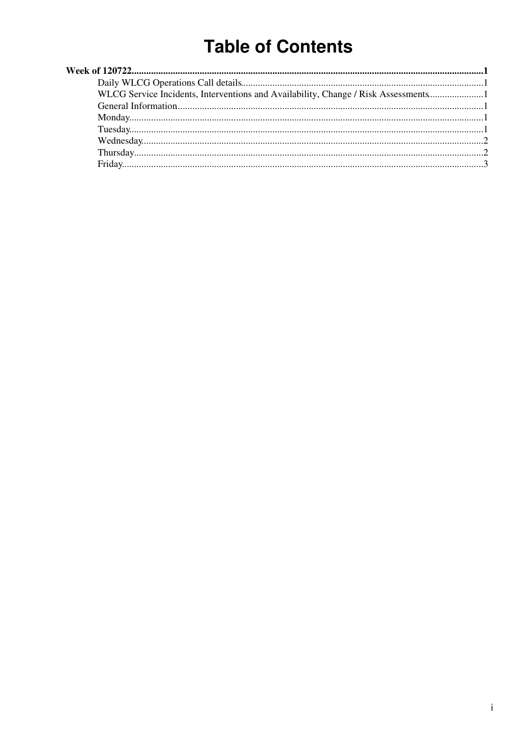# **Table of Contents**

| WLCG Service Incidents, Interventions and Availability, Change / Risk Assessments |  |
|-----------------------------------------------------------------------------------|--|
|                                                                                   |  |
|                                                                                   |  |
|                                                                                   |  |
|                                                                                   |  |
|                                                                                   |  |
|                                                                                   |  |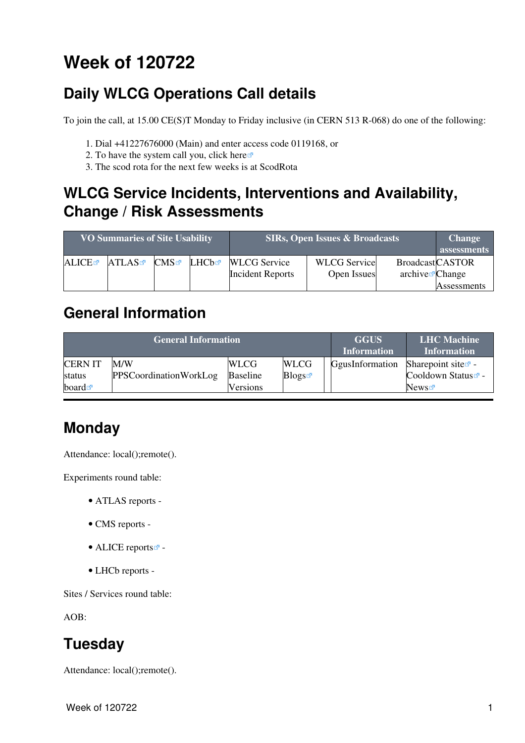# <span id="page-1-0"></span>**Week of 120722**

## <span id="page-1-1"></span>**Daily WLCG Operations Call details**

To join the call, at 15.00 CE(S)T Monday to Friday inclusive (in CERN 513 R-068) do one of the following:

- 1. Dial +41227676000 (Main) and enter access code 0119168, or
- 2. To have the system call you, click [here](https://audioconf.cern.ch/call/0119168) $\infty$
- 3. The scod rota for the next few weeks is at [ScodRota](https://twiki.cern.ch/twiki/bin/view/LCG/ScodRota)

### <span id="page-1-2"></span>**WLCG Service Incidents, Interventions and Availability, Change / Risk Assessments**

| <b>VO Summaries of Site Usability</b> |       |              |       | <b>SIRs, Open Issues &amp; Broadcasts</b>      | <b>Change</b><br>assessments       |                                                       |             |
|---------------------------------------|-------|--------------|-------|------------------------------------------------|------------------------------------|-------------------------------------------------------|-------------|
| ALICE                                 | ATLAS | $\text{CMS}$ | LHCb☞ | <b>WLCG</b> Service<br><b>Incident Reports</b> | <b>WLCG</b> Service<br>Open Issues | <b>BroadcastCASTOR</b><br>$\archive\mathbf{z}$ Change |             |
|                                       |       |              |       |                                                |                                    |                                                       | Assessments |

### <span id="page-1-3"></span>**General Information**

|                                                 | <b>General Information</b>           | <b>GGUS</b><br><b>Information</b>          | <b>LHC</b> Machine<br><b>Information</b> |                 |                                                                          |
|-------------------------------------------------|--------------------------------------|--------------------------------------------|------------------------------------------|-----------------|--------------------------------------------------------------------------|
| <b>CERNIT</b><br>status<br>board $\blacksquare$ | M/W<br><b>PPSCoordinationWorkLog</b> | <b>WLCG</b><br><b>Baseline</b><br>Versions | <b>WLCG</b><br><b>Blogs</b>              | GgusInformation | Sharepoint site $\mathbb{Z}$ -<br>Cooldown Status <sup>a</sup> -<br>News |

## <span id="page-1-4"></span>**Monday**

Attendance: local();remote().

Experiments round table:

- ATLAS [reports](https://twiki.cern.ch/twiki/bin/view/Atlas/ADCOperationsDailyReports) -
- CMS [reports](https://twiki.cern.ch/twiki/bin/view/CMS/FacOps_WLCGdailyreports) -
- $\bullet$  ALICE [reports](http://alien2.cern.ch/index.php?option=com_content&view=article&id=75&Itemid=129) $\bullet$  -
- LHCb [reports](https://twiki.cern.ch/twiki/bin/view/LHCb/ProductionOperationsWLCGdailyReports) -

Sites / Services round table:

AOB:

### <span id="page-1-5"></span>**Tuesday**

Attendance: local();remote().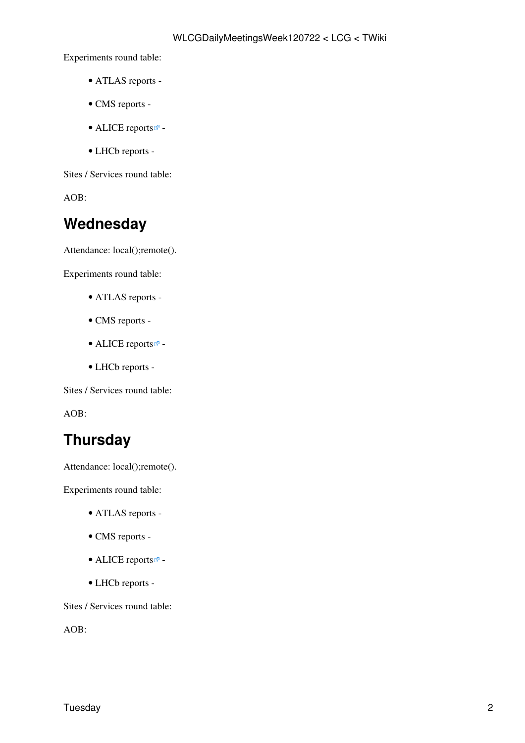Experiments round table:

- ATLAS [reports](https://twiki.cern.ch/twiki/bin/view/Atlas/ADCOperationsDailyReports) -
- CMS [reports](https://twiki.cern.ch/twiki/bin/view/CMS/FacOps_WLCGdailyreports) -
- ALICE [reports](http://alien2.cern.ch/index.php?option=com_content&view=article&id=75&Itemid=129)  $\blacksquare$  -
- LHCb [reports](https://twiki.cern.ch/twiki/bin/view/LHCb/ProductionOperationsWLCGdailyReports) -

Sites / Services round table:

AOB:

#### <span id="page-2-0"></span>**Wednesday**

Attendance: local();remote().

Experiments round table:

- ATLAS [reports](https://twiki.cern.ch/twiki/bin/view/Atlas/ADCOperationsDailyReports) -
- CMS [reports](https://twiki.cern.ch/twiki/bin/view/CMS/FacOps_WLCGdailyreports) -
- ALICE [reports](http://alien2.cern.ch/index.php?option=com_content&view=article&id=75&Itemid=129) $\blacksquare$ -
- LHCb [reports](https://twiki.cern.ch/twiki/bin/view/LHCb/ProductionOperationsWLCGdailyReports) -

Sites / Services round table:

AOB:

#### <span id="page-2-1"></span>**Thursday**

Attendance: local();remote().

Experiments round table:

- ATLAS [reports](https://twiki.cern.ch/twiki/bin/view/Atlas/ADCOperationsDailyReports) -
- CMS [reports](https://twiki.cern.ch/twiki/bin/view/CMS/FacOps_WLCGdailyreports) -
- $\bullet$  ALICE [reports](http://alien2.cern.ch/index.php?option=com_content&view=article&id=75&Itemid=129) $\overline{C}$  -
- LHCb [reports](https://twiki.cern.ch/twiki/bin/view/LHCb/ProductionOperationsWLCGdailyReports) -

Sites / Services round table:

AOB: